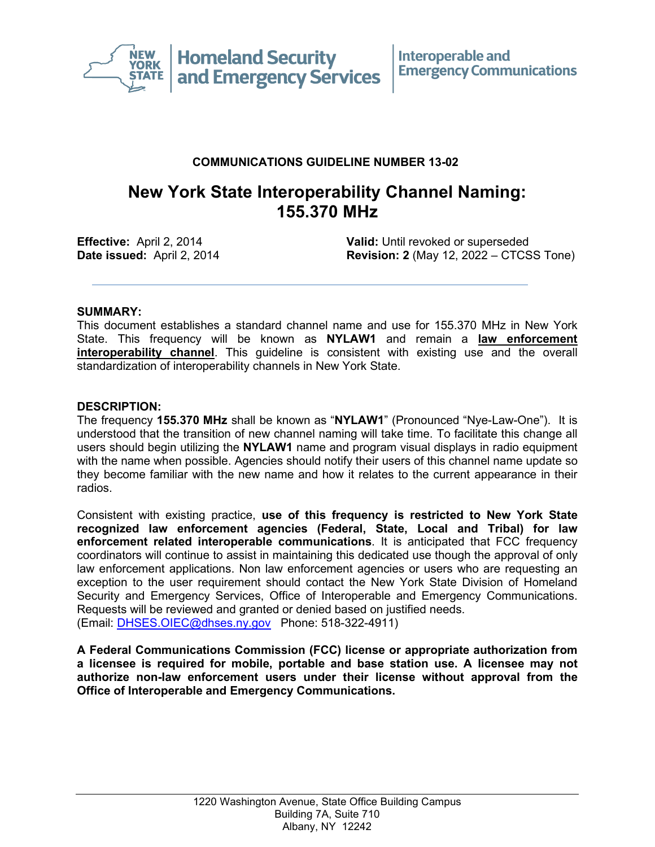

## **COMMUNICATIONS GUIDELINE NUMBER 13-02**

# **New York State Interoperability Channel Naming: 155.370 MHz**

**Effective:** April 2, 2014 **Valid:** Until revoked or superseded **Date issued:** April 2, 2014 **Revision: 2** (May 12, 2022 – CTCSS Tone)

## **SUMMARY:**

This document establishes a standard channel name and use for 155.370 MHz in New York State. This frequency will be known as **NYLAW1** and remain a **law enforcement interoperability channel**. This guideline is consistent with existing use and the overall standardization of interoperability channels in New York State.

#### **DESCRIPTION:**

The frequency **155.370 MHz** shall be known as "**NYLAW1**" (Pronounced "Nye-Law-One"). It is understood that the transition of new channel naming will take time. To facilitate this change all users should begin utilizing the **NYLAW1** name and program visual displays in radio equipment with the name when possible. Agencies should notify their users of this channel name update so they become familiar with the new name and how it relates to the current appearance in their radios.

Consistent with existing practice, **use of this frequency is restricted to New York State recognized law enforcement agencies (Federal, State, Local and Tribal) for law enforcement related interoperable communications**. It is anticipated that FCC frequency coordinators will continue to assist in maintaining this dedicated use though the approval of only law enforcement applications. Non law enforcement agencies or users who are requesting an exception to the user requirement should contact the New York State Division of Homeland Security and Emergency Services, Office of Interoperable and Emergency Communications. Requests will be reviewed and granted or denied based on justified needs. (Email: [DHSES.OIEC@dhses.ny.gov](mailto:DHSES.OIEC@dhses.ny.gov) Phone: 518-322-4911)

**A Federal Communications Commission (FCC) license or appropriate authorization from a licensee is required for mobile, portable and base station use. A licensee may not authorize non-law enforcement users under their license without approval from the Office of Interoperable and Emergency Communications.**